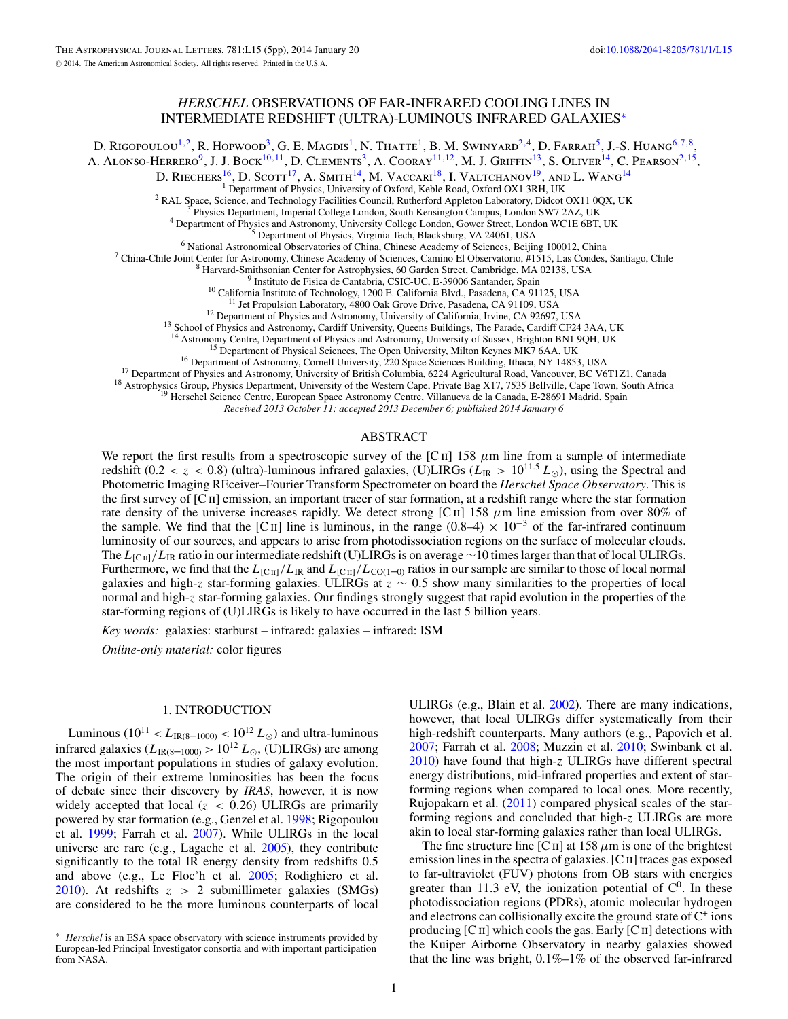# *HERSCHEL* OBSERVATIONS OF FAR-INFRARED COOLING LINES IN INTERMEDIATE REDSHIFT (ULTRA)-LUMINOUS INFRARED GALAXIES<sup>∗</sup>

D. Rigopoulou<sup>1,2</sup>, R. Hopwood<sup>3</sup>, G. E. Magdis<sup>1</sup>, N. Thatte<sup>1</sup>, B. M. Swinyard<sup>2,4</sup>, D. Farrah<sup>5</sup>, J.-S. Huang<sup>6,7,8</sup>, A. Alonso-Herrero<sup>9</sup>, J. J. Bock<sup>10,11</sup>, D. Clements<sup>3</sup>, A. Cooray<sup>11,12</sup>, M. J. Griffin<sup>13</sup>, S. Oliver<sup>14</sup>, C. Pearson<sup>2,15</sup>,

D. Riechers<sup>16</sup>, D. Scott<sup>17</sup>, A. Smith<sup>14</sup>, M. Vaccari<sup>18</sup>, I. Valtchanov<sup>19</sup>, and L. Wang<sup>14</sup>

<sup>1</sup> Department of Physics, University of Oxford, Keble Road, Oxford OX1 3RH, UK<br>
<sup>2</sup> RAL Space, Science, and Technology Facilities Council, Rutherford Appleton Laboratory, Didcot OX11 0QX, UK<br>
<sup>3</sup> Physics Department (Inpe

<sup>13</sup> School of Physics and Astronomy, Cardiff University, Queens Buildings, The Parade, Cardiff CF24 3AA, UK<br><sup>14</sup> Astronomy Centre, Department of Physics and Astronomy, University of Sussex, Brighton BN1 9QH, UK<br><sup>15</sup> Depa

*Received 2013 October 11; accepted 2013 December 6; published 2014 January 6*

### ABSTRACT

We report the first results from a spectroscopic survey of the [C II] 158 μm line from a sample of intermediate redshift  $(0.2 < z < 0.8)$  (ultra)-luminous infrared galaxies, (U)LIRGs  $(L_{IR} > 10^{11.5} L_{\odot})$ , using the Spectral and Photometric Imaging REceiver–Fourier Transform Spectrometer on board the *Herschel Space Observatory*. This is the first survey of  $\lbrack \text{C}_{II} \rbrack$  emission, an important tracer of star formation, at a redshift range where the star formation rate density of the universe increases rapidly. We detect strong [C<sub>II</sub>] 158  $\mu$ m line emission from over 80% of the sample. We find that the [C<sub>II</sub>] line is luminous, in the range (0.8–4) × 10<sup>-3</sup> of the far-infrared continuum luminosity of our sources, and appears to arise from photodissociation regions on the surface of molecular clouds. The *L*<sub>ICπl</sub>/*L*<sub>IR</sub> ratio in our intermediate redshift (U)LIRGs is on average ∼10 times larger than that of local ULIRGs. Furthermore, we find that the  $L_{\text{[CII]}}/L_{\text{IR}}$  and  $L_{\text{[CII]}}/L_{\text{CO(1-0)}}$  ratios in our sample are similar to those of local normal galaxies and high-*z* star-forming galaxies. ULIRGs at *z* ∼ 0*.*5 show many similarities to the properties of local normal and high-*z* star-forming galaxies. Our findings strongly suggest that rapid evolution in the properties of the star-forming regions of (U)LIRGs is likely to have occurred in the last 5 billion years.

*Key words:* galaxies: starburst – infrared: galaxies – infrared: ISM

*Online-only material:* color figures

### 1. INTRODUCTION

Luminous ( $10^{11} < L_{IR(8-1000)} < 10^{12} L_{\odot}$ ) and ultra-luminous infrared galaxies  $(L_{\text{IR}(8-1000)} > 10^{12} L_{\odot}$ , (U)LIRGs) are among the most important populations in studies of galaxy evolution. The origin of their extreme luminosities has been the focus of debate since their discovery by *IRAS*, however, it is now widely accepted that local (*z <* 0*.*26) ULIRGs are primarily powered by star formation (e.g., Genzel et al. [1998;](#page-4-0) Rigopoulou et al. [1999;](#page-4-0) Farrah et al. [2007\)](#page-4-0). While ULIRGs in the local universe are rare (e.g., Lagache et al. [2005\)](#page-4-0), they contribute significantly to the total IR energy density from redshifts 0.5 and above (e.g., Le Floc'h et al. [2005;](#page-4-0) Rodighiero et al. [2010\)](#page-4-0). At redshifts  $z > 2$  submillimeter galaxies (SMGs) are considered to be the more luminous counterparts of local ULIRGs (e.g., Blain et al. [2002\)](#page-4-0). There are many indications, however, that local ULIRGs differ systematically from their high-redshift counterparts. Many authors (e.g., Papovich et al. [2007;](#page-4-0) Farrah et al. [2008;](#page-4-0) Muzzin et al. [2010;](#page-4-0) Swinbank et al. [2010\)](#page-4-0) have found that high-*z* ULIRGs have different spectral energy distributions, mid-infrared properties and extent of starforming regions when compared to local ones. More recently, Rujopakarn et al. [\(2011\)](#page-4-0) compared physical scales of the starforming regions and concluded that high-*z* ULIRGs are more akin to local star-forming galaxies rather than local ULIRGs.

The fine structure line  $\lbrack C \rbrack$  at 158  $\mu$ m is one of the brightest emission lines in the spectra of galaxies. [C ii] traces gas exposed to far-ultraviolet (FUV) photons from OB stars with energies greater than 11.3 eV, the ionization potential of  $C^0$ . In these photodissociation regions (PDRs), atomic molecular hydrogen and electrons can collisionally excite the ground state of  $C^+$  ions producing  $[CII]$  which cools the gas. Early  $[CII]$  detections with the Kuiper Airborne Observatory in nearby galaxies showed that the line was bright, 0.1%–1% of the observed far-infrared

1

<sup>∗</sup> *Herschel* is an ESA space observatory with science instruments provided by European-led Principal Investigator consortia and with important participation from NASA.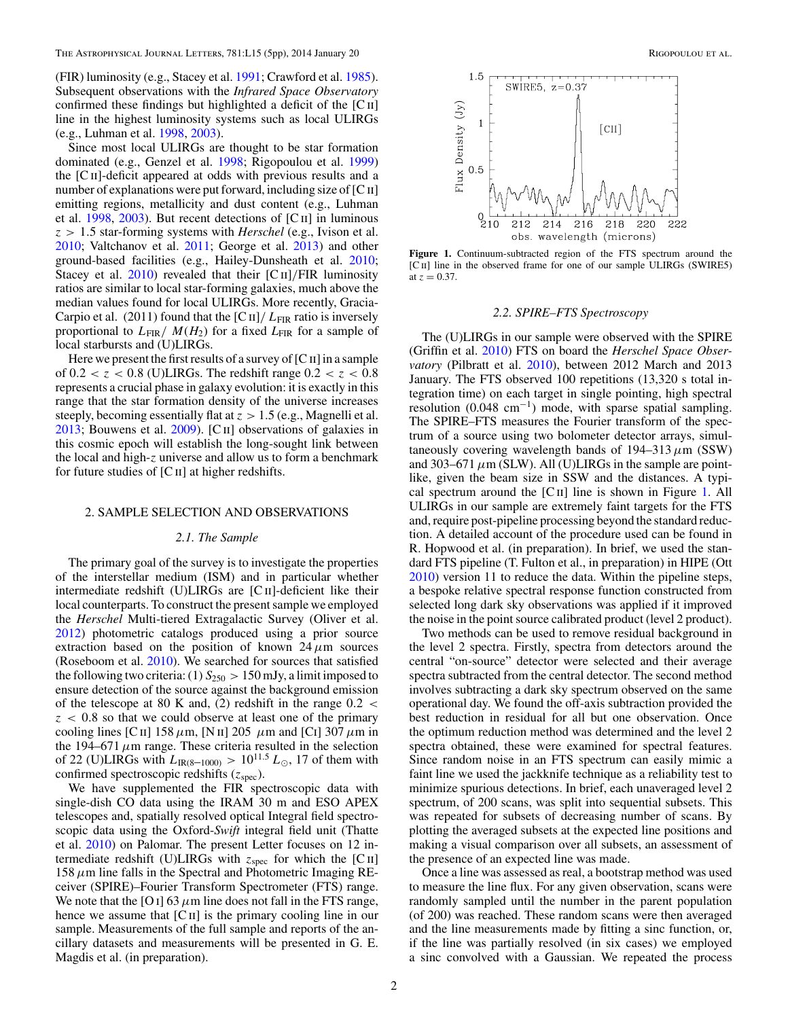(FIR) luminosity (e.g., Stacey et al. [1991;](#page-4-0) Crawford et al. [1985\)](#page-4-0). Subsequent observations with the *Infrared Space Observatory* confirmed these findings but highlighted a deficit of the [C ii] line in the highest luminosity systems such as local ULIRGs (e.g., Luhman et al. [1998,](#page-4-0) [2003\)](#page-4-0).

Since most local ULIRGs are thought to be star formation dominated (e.g., Genzel et al. [1998;](#page-4-0) Rigopoulou et al. [1999\)](#page-4-0) the  $\overline{C}$  II]-deficit appeared at odds with previous results and a number of explanations were put forward, including size of [C II] emitting regions, metallicity and dust content (e.g., Luhman et al.  $1998$ ,  $2003$ ). But recent detections of [C<sub>II</sub>] in luminous *z >* 1*.*5 star-forming systems with *Herschel* (e.g., Ivison et al. [2010;](#page-4-0) Valtchanov et al. [2011;](#page-4-0) George et al. [2013\)](#page-4-0) and other ground-based facilities (e.g., Hailey-Dunsheath et al. [2010;](#page-4-0) Stacey et al. [2010\)](#page-4-0) revealed that their [C<sub>II</sub>]/FIR luminosity ratios are similar to local star-forming galaxies, much above the median values found for local ULIRGs. More recently, Gracia-Carpio et al. (2011) found that the [C<sub>II</sub>]/  $L_{\text{FIR}}$  ratio is inversely proportional to  $L_{\text{FIR}}/M(H_2)$  for a fixed  $L_{\text{FIR}}$  for a sample of local starbursts and (U)LIRGs.

Here we present the first results of a survey of  $[C \, \text{II}]$  in a sample of  $0.2 < z < 0.8$  (U)LIRGs. The redshift range  $0.2 < z < 0.8$ represents a crucial phase in galaxy evolution: it is exactly in this range that the star formation density of the universe increases steeply, becoming essentially flat at *z >* 1.5 (e.g., Magnelli et al. [2013;](#page-4-0) Bouwens et al. [2009\)](#page-4-0). [C $\scriptstyle\rm II$ ] observations of galaxies in this cosmic epoch will establish the long-sought link between the local and high-*z* universe and allow us to form a benchmark for future studies of  $[C<sub>II</sub>]$  at higher redshifts.

#### 2. SAMPLE SELECTION AND OBSERVATIONS

## *2.1. The Sample*

The primary goal of the survey is to investigate the properties of the interstellar medium (ISM) and in particular whether intermediate redshift (U)LIRGs are [C ii]-deficient like their local counterparts. To construct the present sample we employed the *Herschel* Multi-tiered Extragalactic Survey (Oliver et al. [2012\)](#page-4-0) photometric catalogs produced using a prior source extraction based on the position of known  $24 \mu m$  sources (Roseboom et al. [2010\)](#page-4-0). We searched for sources that satisfied the following two criteria: (1)  $S_{250} > 150$  mJy, a limit imposed to ensure detection of the source against the background emission of the telescope at 80 K and, (2) redshift in the range 0*.*2 *< z <* 0*.*8 so that we could observe at least one of the primary cooling lines [C ii] 158*μ*m, [N ii] 205 *μ*m and [Ci] 307*μ*m in the 194–671  $\mu$ m range. These criteria resulted in the selection of 22 (U)LIRGs with  $L_{IR(8-1000)} > 10^{11.5} L_{\odot}$ , 17 of them with confirmed spectroscopic redshifts ( $z<sub>spec</sub>$ ).

We have supplemented the FIR spectroscopic data with single-dish CO data using the IRAM 30 m and ESO APEX telescopes and, spatially resolved optical Integral field spectroscopic data using the Oxford-*Swift* integral field unit (Thatte et al. [2010\)](#page-4-0) on Palomar. The present Letter focuses on 12 intermediate redshift (U)LIRGs with  $z<sub>spec</sub>$  for which the [C ii] 158*μ*m line falls in the Spectral and Photometric Imaging REceiver (SPIRE)–Fourier Transform Spectrometer (FTS) range. We note that the [O I] 63  $\mu$ m line does not fall in the FTS range, hence we assume that  $[C_{II}]$  is the primary cooling line in our sample. Measurements of the full sample and reports of the ancillary datasets and measurements will be presented in G. E. Magdis et al. (in preparation).



**Figure 1.** Continuum-subtracted region of the FTS spectrum around the [CII] line in the observed frame for one of our sample ULIRGs (SWIRE5) at  $z = 0.37$ .

## *2.2. SPIRE–FTS Spectroscopy*

The (U)LIRGs in our sample were observed with the SPIRE (Griffin et al. [2010\)](#page-4-0) FTS on board the *Herschel Space Observatory* (Pilbratt et al. [2010\)](#page-4-0), between 2012 March and 2013 January. The FTS observed 100 repetitions (13,320 s total integration time) on each target in single pointing, high spectral resolution  $(0.048 \text{ cm}^{-1})$  mode, with sparse spatial sampling. The SPIRE–FTS measures the Fourier transform of the spectrum of a source using two bolometer detector arrays, simultaneously covering wavelength bands of 194–313*μ*m (SSW) and 303–671  $\mu$ m (SLW). All (U)LIRGs in the sample are pointlike, given the beam size in SSW and the distances. A typical spectrum around the  $[C<sub>II</sub>]$  line is shown in Figure 1. All ULIRGs in our sample are extremely faint targets for the FTS and, require post-pipeline processing beyond the standard reduction. A detailed account of the procedure used can be found in R. Hopwood et al. (in preparation). In brief, we used the standard FTS pipeline (T. Fulton et al., in preparation) in HIPE (Ott [2010\)](#page-4-0) version 11 to reduce the data. Within the pipeline steps, a bespoke relative spectral response function constructed from selected long dark sky observations was applied if it improved the noise in the point source calibrated product (level 2 product).

Two methods can be used to remove residual background in the level 2 spectra. Firstly, spectra from detectors around the central "on-source" detector were selected and their average spectra subtracted from the central detector. The second method involves subtracting a dark sky spectrum observed on the same operational day. We found the off-axis subtraction provided the best reduction in residual for all but one observation. Once the optimum reduction method was determined and the level 2 spectra obtained, these were examined for spectral features. Since random noise in an FTS spectrum can easily mimic a faint line we used the jackknife technique as a reliability test to minimize spurious detections. In brief, each unaveraged level 2 spectrum, of 200 scans, was split into sequential subsets. This was repeated for subsets of decreasing number of scans. By plotting the averaged subsets at the expected line positions and making a visual comparison over all subsets, an assessment of the presence of an expected line was made.

Once a line was assessed as real, a bootstrap method was used to measure the line flux. For any given observation, scans were randomly sampled until the number in the parent population (of 200) was reached. These random scans were then averaged and the line measurements made by fitting a sinc function, or, if the line was partially resolved (in six cases) we employed a sinc convolved with a Gaussian. We repeated the process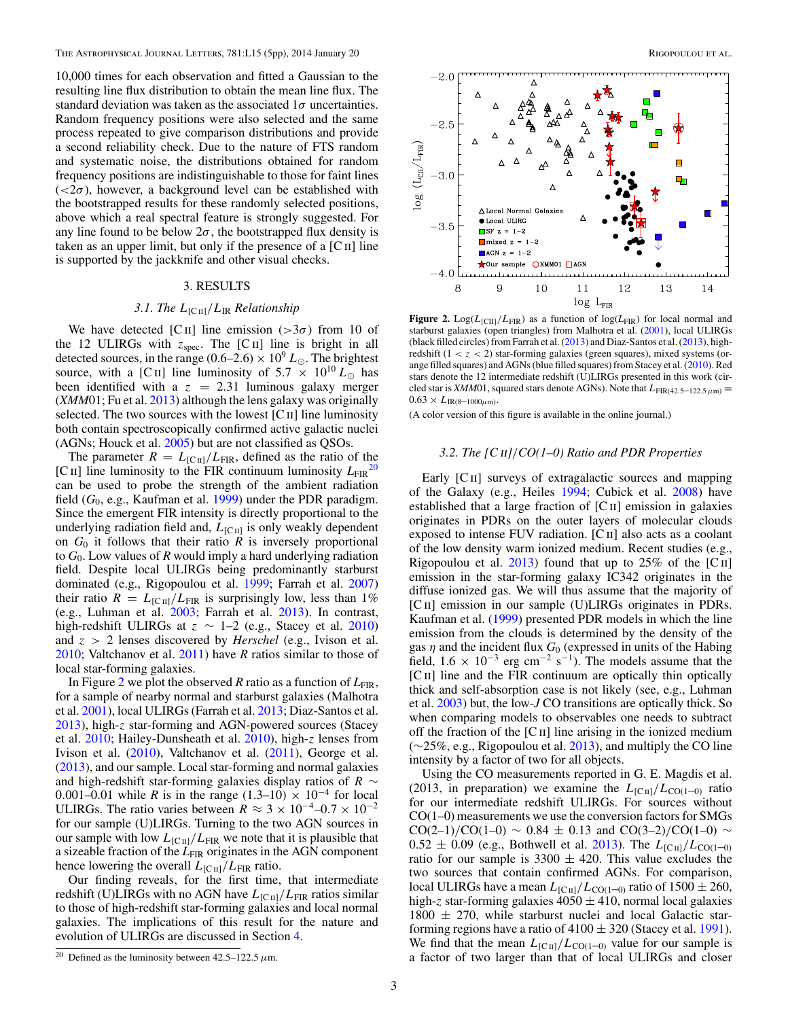<span id="page-2-0"></span>The Astrophysical Journal Letters, 781:L15 (5pp), 2014 January 20 Rigorou et al.

10,000 times for each observation and fitted a Gaussian to the resulting line flux distribution to obtain the mean line flux. The standard deviation was taken as the associated 1*σ* uncertainties. Random frequency positions were also selected and the same process repeated to give comparison distributions and provide a second reliability check. Due to the nature of FTS random and systematic noise, the distributions obtained for random frequency positions are indistinguishable to those for faint lines  $(<2\sigma$ ), however, a background level can be established with the bootstrapped results for these randomly selected positions, above which a real spectral feature is strongly suggested. For any line found to be below  $2\sigma$ , the bootstrapped flux density is taken as an upper limit, but only if the presence of a  $\llbracket C \rbracket$  line is supported by the jackknife and other visual checks.

# 3. RESULTS

## *3.1. The L*[Cii]*/L*IR *Relationship*

We have detected [C II] line emission ( $>3\sigma$ ) from 10 of the 12 ULIRGs with  $z_{spec}$ . The [C II] line is bright in all detected sources, in the range (0.6–2.6)  $\times$  10<sup>9</sup>  $L_{\odot}$ . The brightest source, with a [C <sup>ii</sup>] line luminosity of  $5.7 \times 10^{10} L_{\odot}$  has been identified with a  $z = 2.31$  luminous galaxy merger (*XMM*01; Fu et al. [2013\)](#page-4-0) although the lens galaxy was originally selected. The two sources with the lowest  $[CII]$  line luminosity both contain spectroscopically confirmed active galactic nuclei (AGNs; Houck et al. [2005\)](#page-4-0) but are not classified as QSOs.

The parameter  $R = L_{\text{[CII]}}/L_{\text{FIR}}$ , defined as the ratio of the [C<sub>II</sub>] line luminosity to the FIR continuum luminosity  $L_{\text{FIR}}^{20}$ can be used to probe the strength of the ambient radiation field (*G*0, e.g., Kaufman et al. [1999\)](#page-4-0) under the PDR paradigm. Since the emergent FIR intensity is directly proportional to the underlying radiation field and,  $L_{\text{[CII]}}$  is only weakly dependent on  $G_0$  it follows that their ratio  $R$  is inversely proportional to *G*0. Low values of *R* would imply a hard underlying radiation field. Despite local ULIRGs being predominantly starburst dominated (e.g., Rigopoulou et al. [1999;](#page-4-0) Farrah et al. [2007\)](#page-4-0) their ratio  $R = L_{\text{[C\text{II}]}}/L_{\text{FIR}}$  is surprisingly low, less than 1% (e.g., Luhman et al. [2003;](#page-4-0) Farrah et al. [2013\)](#page-4-0). In contrast, high-redshift ULIRGs at  $z \sim 1-2$  (e.g., Stacey et al. [2010\)](#page-4-0) and *z >* 2 lenses discovered by *Herschel* (e.g., Ivison et al. [2010;](#page-4-0) Valtchanov et al. [2011\)](#page-4-0) have *R* ratios similar to those of local star-forming galaxies.

In Figure 2 we plot the observed *R* ratio as a function of  $L_{\text{FIR}}$ , for a sample of nearby normal and starburst galaxies (Malhotra et al. [2001\)](#page-4-0), local ULIRGs (Farrah et al. [2013;](#page-4-0) Diaz-Santos et al. [2013\)](#page-4-0), high-*z* star-forming and AGN-powered sources (Stacey et al. [2010;](#page-4-0) Hailey-Dunsheath et al. [2010\)](#page-4-0), high-*z* lenses from Ivison et al. [\(2010\)](#page-4-0), Valtchanov et al. [\(2011\)](#page-4-0), George et al. [\(2013\)](#page-4-0), and our sample. Local star-forming and normal galaxies and high-redshift star-forming galaxies display ratios of *R* ∼ 0.001–0.01 while *R* is in the range  $(1.3-10) \times 10^{-4}$  for local ULIRGs. The ratio varies between *R* ≈ 3 × 10<sup>-4</sup>–0.7 × 10<sup>-2</sup> for our sample (U)LIRGs. Turning to the two AGN sources in our sample with low  $L_{\text{[CII]}}/L_{\text{FIR}}$  we note that it is plausible that a sizeable fraction of the *L*<sub>FIR</sub> originates in the AGN component hence lowering the overall  $L_{\text{[CII]}}/L_{\text{FIR}}$  ratio.

Our finding reveals, for the first time, that intermediate redshift (U)LIRGs with no AGN have  $L_{\text{[C\text{II}]}}/L_{\text{FIR}}$  ratios similar to those of high-redshift star-forming galaxies and local normal galaxies. The implications of this result for the nature and evolution of ULIRGs are discussed in Section [4.](#page-3-0)



**Figure 2.** Log( $L_{\text{[CII]}}/L_{\text{FIR}}$ ) as a function of log( $L_{\text{FIR}}$ ) for local normal and starburst galaxies (open triangles) from Malhotra et al. [\(2001\)](#page-4-0), local ULIRGs (black filled circles) from Farrah et al. [\(2013\)](#page-4-0) and Diaz-Santos et al. [\(2013\)](#page-4-0), highredshift  $(1 < z < 2)$  star-forming galaxies (green squares), mixed systems (orange filled squares) and AGNs (blue filled squares) from Stacey et al. [\(2010\)](#page-4-0). Red stars denote the 12 intermediate redshift (U)LIRGs presented in this work (circled star is *XMM*01, squared stars denote AGNs). Note that *L*FIR(42*.*5–122*.*5*μ*m) =  $0.63 \times L_{\text{IR}(8-1000\mu\text{m})}$ .

(A color version of this figure is available in the online journal.)

## *3.2. The [C* ii*]/CO(1–0) Ratio and PDR Properties*

Early [C<sub>II</sub>] surveys of extragalactic sources and mapping of the Galaxy (e.g., Heiles [1994;](#page-4-0) Cubick et al. [2008\)](#page-4-0) have established that a large fraction of  $[CII]$  emission in galaxies originates in PDRs on the outer layers of molecular clouds exposed to intense FUV radiation. [C<sub>II</sub>] also acts as a coolant of the low density warm ionized medium. Recent studies (e.g., Rigopoulou et al.  $2013$ ) found that up to  $25\%$  of the [C II] emission in the star-forming galaxy IC342 originates in the diffuse ionized gas. We will thus assume that the majority of [Cii] emission in our sample (U)LIRGs originates in PDRs. Kaufman et al. [\(1999\)](#page-4-0) presented PDR models in which the line emission from the clouds is determined by the density of the gas  $\eta$  and the incident flux  $G_0$  (expressed in units of the Habing field,  $1.6 \times 10^{-3}$  erg cm<sup>-2</sup> s<sup>-1</sup>). The models assume that the [C<sub>II</sub>] line and the FIR continuum are optically thin optically thick and self-absorption case is not likely (see, e.g., Luhman et al. [2003\)](#page-4-0) but, the low-*J* CO transitions are optically thick. So when comparing models to observables one needs to subtract off the fraction of the  $[C \, I]$  line arising in the ionized medium  $(\sim 25\%, e.g., Rigopoulou et al. 2013)$  $(\sim 25\%, e.g., Rigopoulou et al. 2013)$ , and multiply the CO line intensity by a factor of two for all objects.

Using the CO measurements reported in G. E. Magdis et al. (2013, in preparation) we examine the  $L_{\text{[CII]}}/L_{\text{CO(1-0)}}$  ratio for our intermediate redshift ULIRGs. For sources without CO(1–0) measurements we use the conversion factors for SMGs  $CO(2-1)/CO(1-0) \sim 0.84 \pm 0.13$  and  $CO(3-2)/CO(1-0) \sim$  $0.52 \pm 0.09$  (e.g., Bothwell et al. [2013\)](#page-4-0). The  $L_{\text{[C\text{II}]}}/L_{\text{CO(1-0)}}$ ratio for our sample is  $3300 \pm 420$ . This value excludes the two sources that contain confirmed AGNs. For comparison, local ULIRGs have a mean  $L_{\text{[C\text{II}]}}/L_{\text{CO}(1-0)}$  ratio of 1500  $\pm$  260, high-*z* star-forming galaxies  $4050 \pm 410$ , normal local galaxies  $1800 \pm 270$ , while starburst nuclei and local Galactic starforming regions have a ratio of  $4100 \pm 320$  (Stacey et al. [1991\)](#page-4-0). We find that the mean  $L_{\text{[CII]}}/L_{\text{CO}(1-0)}$  value for our sample is a factor of two larger than that of local ULIRGs and closer

 $\frac{20}{20}$  Defined as the luminosity between 42.5–122.5  $\mu$ m.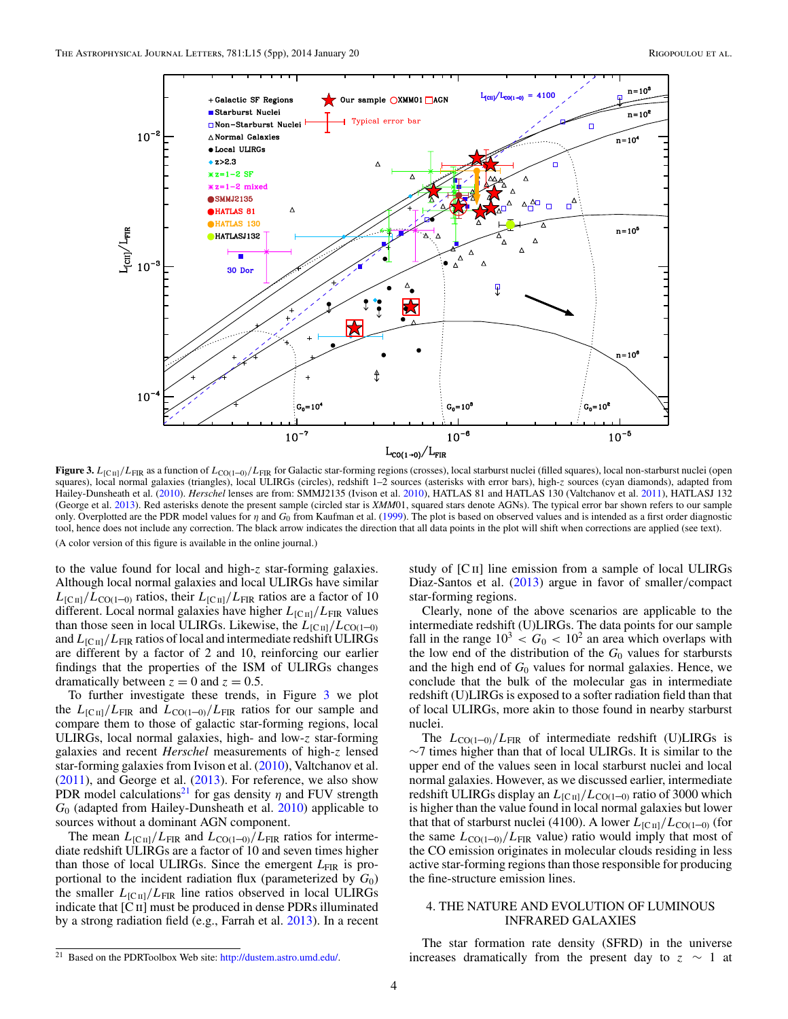<span id="page-3-0"></span>

**Figure 3.**  $L_{\text{IC II}}/L_{\text{FIR}}$  as a function of  $L_{\text{CO}(1-0)}/L_{\text{FIR}}$  for Galactic star-forming regions (crosses), local starburst nuclei (filled squares), local non-starburst nuclei (open squares), local normal galaxies (triangles), local ULIRGs (circles), redshift 1–2 sources (asterisks with error bars), high-*z* sources (cyan diamonds), adapted from Hailey-Dunsheath et al. [\(2010\)](#page-4-0). *Herschel* lenses are from: SMMJ2135 (Ivison et al. [2010\)](#page-4-0), HATLAS 81 and HATLAS 130 (Valtchanov et al. [2011\)](#page-4-0), HATLASJ 132 (George et al. [2013\)](#page-4-0). Red asterisks denote the present sample (circled star is *XMM*01, squared stars denote AGNs). The typical error bar shown refers to our sample only. Overplotted are the PDR model values for  $\eta$  and  $G_0$  from Kaufman et al. [\(1999\)](#page-4-0). The plot is based on observed values and is intended as a first order diagnostic tool, hence does not include any correction. The black arrow indicates the direction that all data points in the plot will shift when corrections are applied (see text). (A color version of this figure is available in the online journal.)

to the value found for local and high-*z* star-forming galaxies. Although local normal galaxies and local ULIRGs have similar  $L_{\text{[C\text{II}]}}/L_{\text{CO(1-0)}}$  ratios, their  $L_{\text{[C\text{II}]}}/L_{\text{FIR}}$  ratios are a factor of 10 different. Local normal galaxies have higher  $L_{\text{[CII]}}/L_{\text{FIR}}$  values than those seen in local ULIRGs. Likewise, the  $L_{\text{[CII]}}/L_{\text{CO(1-0)}}$ and  $L_{\text{[CII]}}/L_{\text{FIR}}$  ratios of local and intermediate redshift ULIRGs are different by a factor of 2 and 10, reinforcing our earlier findings that the properties of the ISM of ULIRGs changes dramatically between  $z = 0$  and  $z = 0.5$ .

To further investigate these trends, in Figure 3 we plot the  $L_{\text{[CII]}}/L_{\text{FIR}}$  and  $L_{\text{CO}(1-0)}/L_{\text{FIR}}$  ratios for our sample and compare them to those of galactic star-forming regions, local ULIRGs, local normal galaxies, high- and low-*z* star-forming galaxies and recent *Herschel* measurements of high-*z* lensed star-forming galaxies from Ivison et al. [\(2010\)](#page-4-0), Valtchanov et al.  $(2011)$ , and George et al.  $(2013)$ . For reference, we also show PDR model calculations<sup>21</sup> for gas density  $\eta$  and FUV strength *G*<sup>0</sup> (adapted from Hailey-Dunsheath et al. [2010\)](#page-4-0) applicable to sources without a dominant AGN component.

The mean  $L_{\text{[CII]}}/L_{\text{FIR}}$  and  $L_{\text{CO(1--0)}}/L_{\text{FIR}}$  ratios for intermediate redshift ULIRGs are a factor of 10 and seven times higher than those of local ULIRGs. Since the emergent  $L_{\text{FIR}}$  is proportional to the incident radiation flux (parameterized by  $G_0$ ) the smaller *L*[Cii]*/L*FIR line ratios observed in local ULIRGs indicate that  $[C\,II]$  must be produced in dense PDRs illuminated by a strong radiation field (e.g., Farrah et al. [2013\)](#page-4-0). In a recent

study of [C<sub>II</sub>] line emission from a sample of local ULIRGs Diaz-Santos et al. [\(2013\)](#page-4-0) argue in favor of smaller*/*compact star-forming regions.

Clearly, none of the above scenarios are applicable to the intermediate redshift (U)LIRGs. The data points for our sample fall in the range  $10^3 < G_0 < 10^2$  an area which overlaps with the low end of the distribution of the  $G_0$  values for starbursts and the high end of  $G_0$  values for normal galaxies. Hence, we conclude that the bulk of the molecular gas in intermediate redshift (U)LIRGs is exposed to a softer radiation field than that of local ULIRGs, more akin to those found in nearby starburst nuclei.

The  $L_{\text{CO}(1-0)}/L_{\text{FIR}}$  of intermediate redshift (U)LIRGs is  $\sim$ 7 times higher than that of local ULIRGs. It is similar to the upper end of the values seen in local starburst nuclei and local normal galaxies. However, as we discussed earlier, intermediate redshift ULIRGs display an  $L_{\text{[C\,\textsc{ii}]}}/L_{\text{CO(1-0)}}$  ratio of 3000 which is higher than the value found in local normal galaxies but lower that that of starburst nuclei (4100). A lower  $L_{\text{[C\text{II}]}}/L_{\text{CO(1-0)}}$  (for the same  $L_{\text{CO}(1-0)}/L_{\text{FIR}}$  value) ratio would imply that most of the CO emission originates in molecular clouds residing in less active star-forming regions than those responsible for producing the fine-structure emission lines.

## 4. THE NATURE AND EVOLUTION OF LUMINOUS INFRARED GALAXIES

The star formation rate density (SFRD) in the universe increases dramatically from the present day to  $z \sim 1$  at

 $\frac{21}{21}$  Based on the PDRToolbox Web site: [http://dustem.astro.umd.edu/.](http://dustem.astro.umd.edu/)